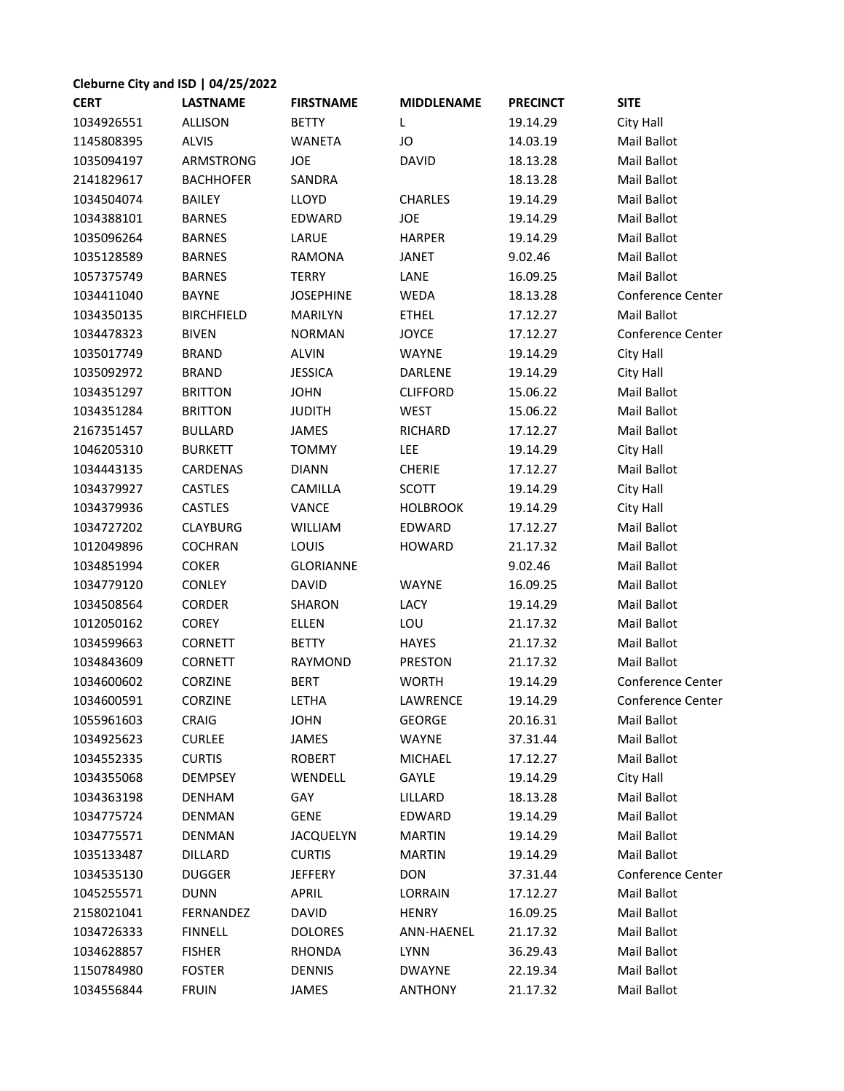| Cleburne City and ISD   04/25/2022 |                   |                  |                   |                 |                    |  |
|------------------------------------|-------------------|------------------|-------------------|-----------------|--------------------|--|
| <b>CERT</b>                        | <b>LASTNAME</b>   | <b>FIRSTNAME</b> | <b>MIDDLENAME</b> | <b>PRECINCT</b> | <b>SITE</b>        |  |
| 1034926551                         | <b>ALLISON</b>    | <b>BETTY</b>     | L                 | 19.14.29        | City Hall          |  |
| 1145808395                         | <b>ALVIS</b>      | <b>WANETA</b>    | JO                | 14.03.19        | <b>Mail Ballot</b> |  |
| 1035094197                         | ARMSTRONG         | JOE              | <b>DAVID</b>      | 18.13.28        | <b>Mail Ballot</b> |  |
| 2141829617                         | BACHHOFER         | SANDRA           |                   | 18.13.28        | <b>Mail Ballot</b> |  |
| 1034504074                         | <b>BAILEY</b>     | <b>LLOYD</b>     | <b>CHARLES</b>    | 19.14.29        | <b>Mail Ballot</b> |  |
| 1034388101                         | <b>BARNES</b>     | EDWARD           | JOE               | 19.14.29        | <b>Mail Ballot</b> |  |
| 1035096264                         | <b>BARNES</b>     | LARUE            | <b>HARPER</b>     | 19.14.29        | <b>Mail Ballot</b> |  |
| 1035128589                         | <b>BARNES</b>     | <b>RAMONA</b>    | JANET             | 9.02.46         | <b>Mail Ballot</b> |  |
| 1057375749                         | <b>BARNES</b>     | <b>TERRY</b>     | LANE              | 16.09.25        | <b>Mail Ballot</b> |  |
| 1034411040                         | <b>BAYNE</b>      | <b>JOSEPHINE</b> | WEDA              | 18.13.28        | Conference Center  |  |
| 1034350135                         | <b>BIRCHFIELD</b> | <b>MARILYN</b>   | <b>ETHEL</b>      | 17.12.27        | <b>Mail Ballot</b> |  |
| 1034478323                         | <b>BIVEN</b>      | <b>NORMAN</b>    | <b>JOYCE</b>      | 17.12.27        | Conference Center  |  |
| 1035017749                         | <b>BRAND</b>      | <b>ALVIN</b>     | WAYNE             | 19.14.29        | City Hall          |  |
| 1035092972                         | <b>BRAND</b>      | <b>JESSICA</b>   | <b>DARLENE</b>    | 19.14.29        | City Hall          |  |
| 1034351297                         | <b>BRITTON</b>    | <b>JOHN</b>      | <b>CLIFFORD</b>   | 15.06.22        | <b>Mail Ballot</b> |  |
| 1034351284                         | <b>BRITTON</b>    | <b>JUDITH</b>    | WEST              | 15.06.22        | <b>Mail Ballot</b> |  |
| 2167351457                         | <b>BULLARD</b>    | <b>JAMES</b>     | <b>RICHARD</b>    | 17.12.27        | <b>Mail Ballot</b> |  |
| 1046205310                         | <b>BURKETT</b>    | <b>TOMMY</b>     | LEE               | 19.14.29        | City Hall          |  |
| 1034443135                         | CARDENAS          | <b>DIANN</b>     | <b>CHERIE</b>     | 17.12.27        | <b>Mail Ballot</b> |  |
| 1034379927                         | CASTLES           | CAMILLA          | <b>SCOTT</b>      | 19.14.29        | City Hall          |  |
| 1034379936                         | CASTLES           | VANCE            | <b>HOLBROOK</b>   | 19.14.29        | City Hall          |  |
| 1034727202                         | <b>CLAYBURG</b>   | <b>WILLIAM</b>   | EDWARD            | 17.12.27        | <b>Mail Ballot</b> |  |
| 1012049896                         | <b>COCHRAN</b>    | LOUIS            | <b>HOWARD</b>     | 21.17.32        | <b>Mail Ballot</b> |  |
|                                    |                   |                  |                   |                 | <b>Mail Ballot</b> |  |
| 1034851994                         | <b>COKER</b>      | <b>GLORIANNE</b> |                   | 9.02.46         |                    |  |
| 1034779120                         | <b>CONLEY</b>     | <b>DAVID</b>     | WAYNE             | 16.09.25        | <b>Mail Ballot</b> |  |
| 1034508564                         | <b>CORDER</b>     | SHARON           | LACY              | 19.14.29        | <b>Mail Ballot</b> |  |
| 1012050162                         | <b>COREY</b>      | ELLEN            | LOU               | 21.17.32        | <b>Mail Ballot</b> |  |
| 1034599663                         | <b>CORNETT</b>    | <b>BETTY</b>     | <b>HAYES</b>      | 21.17.32        | <b>Mail Ballot</b> |  |
| 1034843609                         | <b>CORNETT</b>    | <b>RAYMOND</b>   | <b>PRESTON</b>    | 21.17.32        | <b>Mail Ballot</b> |  |
| 1034600602                         | <b>CORZINE</b>    | <b>BERT</b>      | <b>WORTH</b>      | 19.14.29        | Conference Center  |  |
| 1034600591                         | <b>CORZINE</b>    | LETHA            | LAWRENCE          | 19.14.29        | Conference Center  |  |
| 1055961603                         | CRAIG             | <b>JOHN</b>      | <b>GEORGE</b>     | 20.16.31        | Mail Ballot        |  |
| 1034925623                         | <b>CURLEE</b>     | <b>JAMES</b>     | <b>WAYNE</b>      | 37.31.44        | Mail Ballot        |  |
| 1034552335                         | <b>CURTIS</b>     | ROBERT           | MICHAEL           | 17.12.27        | Mail Ballot        |  |
| 1034355068                         | <b>DEMPSEY</b>    | WENDELL          | GAYLE             | 19.14.29        | City Hall          |  |
| 1034363198                         | <b>DENHAM</b>     | GAY              | LILLARD           | 18.13.28        | Mail Ballot        |  |
| 1034775724                         | DENMAN            | <b>GENE</b>      | EDWARD            | 19.14.29        | Mail Ballot        |  |
| 1034775571                         | DENMAN            | <b>JACQUELYN</b> | <b>MARTIN</b>     | 19.14.29        | Mail Ballot        |  |
| 1035133487                         | DILLARD           | <b>CURTIS</b>    | <b>MARTIN</b>     | 19.14.29        | Mail Ballot        |  |
| 1034535130                         | <b>DUGGER</b>     | <b>JEFFERY</b>   | DON               | 37.31.44        | Conference Center  |  |
| 1045255571                         | <b>DUNN</b>       | APRIL            | LORRAIN           | 17.12.27        | Mail Ballot        |  |
| 2158021041                         | FERNANDEZ         | <b>DAVID</b>     | <b>HENRY</b>      | 16.09.25        | Mail Ballot        |  |
| 1034726333                         | <b>FINNELL</b>    | <b>DOLORES</b>   | ANN-HAENEL        | 21.17.32        | Mail Ballot        |  |
| 1034628857                         | <b>FISHER</b>     | RHONDA           | <b>LYNN</b>       | 36.29.43        | Mail Ballot        |  |
| 1150784980                         | <b>FOSTER</b>     | <b>DENNIS</b>    | <b>DWAYNE</b>     | 22.19.34        | Mail Ballot        |  |
| 1034556844                         | <b>FRUIN</b>      | JAMES            | ANTHONY           | 21.17.32        | Mail Ballot        |  |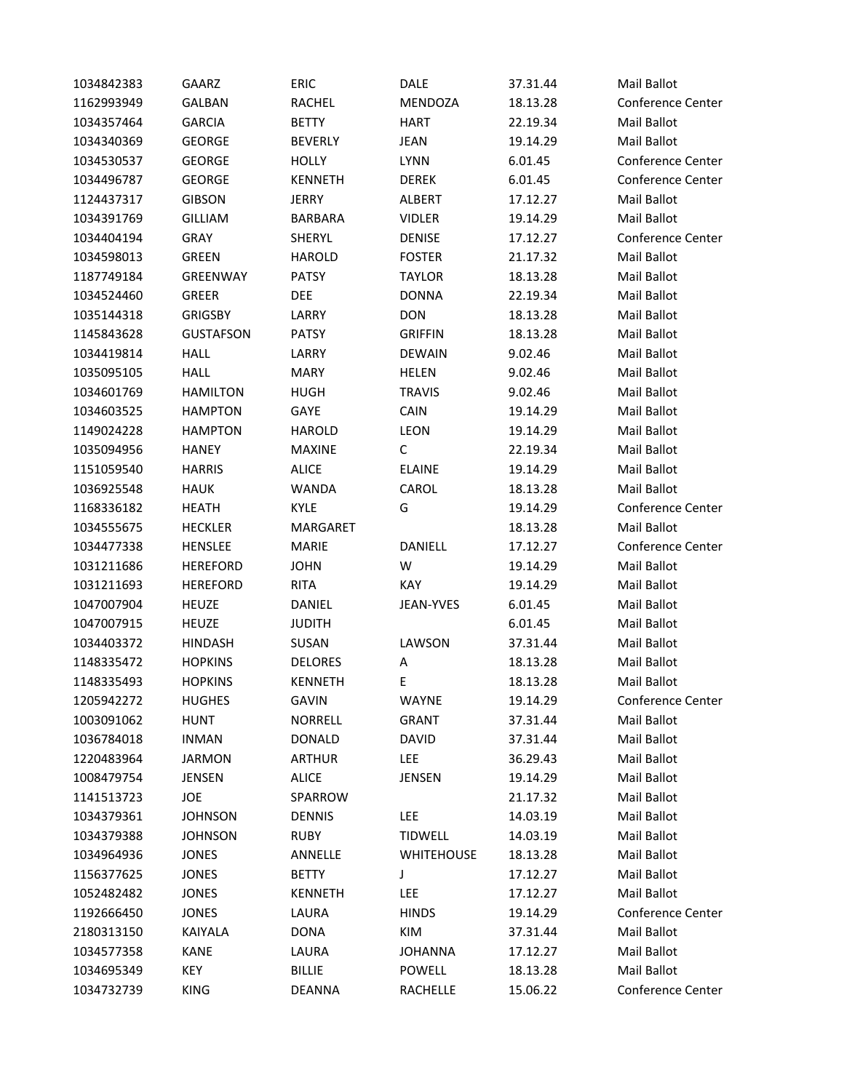| 1034842383 | GAARZ            | <b>ERIC</b>     | <b>DALE</b>       | 37.31.44 | <b>Mail Ballot</b> |
|------------|------------------|-----------------|-------------------|----------|--------------------|
| 1162993949 | <b>GALBAN</b>    | RACHEL          | MENDOZA           | 18.13.28 | Conference Center  |
| 1034357464 | <b>GARCIA</b>    | <b>BETTY</b>    | <b>HART</b>       | 22.19.34 | Mail Ballot        |
| 1034340369 | <b>GEORGE</b>    | <b>BEVERLY</b>  | JEAN              | 19.14.29 | Mail Ballot        |
| 1034530537 | <b>GEORGE</b>    | <b>HOLLY</b>    | <b>LYNN</b>       | 6.01.45  | Conference Center  |
| 1034496787 | <b>GEORGE</b>    | <b>KENNETH</b>  | DEREK             | 6.01.45  | Conference Center  |
| 1124437317 | <b>GIBSON</b>    | <b>JERRY</b>    | ALBERT            | 17.12.27 | Mail Ballot        |
| 1034391769 | <b>GILLIAM</b>   | <b>BARBARA</b>  | <b>VIDLER</b>     | 19.14.29 | Mail Ballot        |
| 1034404194 | GRAY             | SHERYL          | DENISE            | 17.12.27 | Conference Center  |
| 1034598013 | <b>GREEN</b>     | <b>HAROLD</b>   | <b>FOSTER</b>     | 21.17.32 | Mail Ballot        |
| 1187749184 | GREENWAY         | <b>PATSY</b>    | <b>TAYLOR</b>     | 18.13.28 | Mail Ballot        |
| 1034524460 | <b>GREER</b>     | DEE             | <b>DONNA</b>      | 22.19.34 | Mail Ballot        |
| 1035144318 | <b>GRIGSBY</b>   | LARRY           | <b>DON</b>        | 18.13.28 | Mail Ballot        |
| 1145843628 | <b>GUSTAFSON</b> | <b>PATSY</b>    | <b>GRIFFIN</b>    | 18.13.28 | Mail Ballot        |
| 1034419814 | <b>HALL</b>      | LARRY           | <b>DEWAIN</b>     | 9.02.46  | Mail Ballot        |
| 1035095105 | <b>HALL</b>      | <b>MARY</b>     | HELEN             | 9.02.46  | Mail Ballot        |
| 1034601769 | <b>HAMILTON</b>  | <b>HUGH</b>     | <b>TRAVIS</b>     | 9.02.46  | Mail Ballot        |
| 1034603525 | <b>HAMPTON</b>   | GAYE            | CAIN              | 19.14.29 | Mail Ballot        |
| 1149024228 | <b>HAMPTON</b>   | <b>HAROLD</b>   | LEON              | 19.14.29 | Mail Ballot        |
| 1035094956 | <b>HANEY</b>     | <b>MAXINE</b>   | С                 | 22.19.34 | Mail Ballot        |
| 1151059540 | <b>HARRIS</b>    | <b>ALICE</b>    | <b>ELAINE</b>     | 19.14.29 | Mail Ballot        |
| 1036925548 | <b>HAUK</b>      | <b>WANDA</b>    | CAROL             | 18.13.28 | Mail Ballot        |
| 1168336182 | <b>HEATH</b>     | <b>KYLE</b>     | G                 | 19.14.29 | Conference Center  |
| 1034555675 | <b>HECKLER</b>   | <b>MARGARET</b> |                   | 18.13.28 | Mail Ballot        |
| 1034477338 | <b>HENSLEE</b>   | <b>MARIE</b>    | DANIELL           | 17.12.27 | Conference Center  |
| 1031211686 | <b>HEREFORD</b>  | <b>JOHN</b>     | W                 | 19.14.29 | Mail Ballot        |
| 1031211693 | <b>HEREFORD</b>  | <b>RITA</b>     | KAY               | 19.14.29 | Mail Ballot        |
| 1047007904 | <b>HEUZE</b>     | DANIEL          | JEAN-YVES         | 6.01.45  | Mail Ballot        |
| 1047007915 | <b>HEUZE</b>     | <b>JUDITH</b>   |                   | 6.01.45  | Mail Ballot        |
| 1034403372 | <b>HINDASH</b>   | SUSAN           | LAWSON            | 37.31.44 | Mail Ballot        |
| 1148335472 | <b>HOPKINS</b>   | <b>DELORES</b>  | Α                 | 18.13.28 | Mail Ballot        |
| 1148335493 | <b>HOPKINS</b>   | <b>KENNETH</b>  | Е                 | 18.13.28 | Mail Ballot        |
| 1205942272 | <b>HUGHES</b>    | <b>GAVIN</b>    | WAYNE             | 19.14.29 | Conference Center  |
| 1003091062 | <b>HUNT</b>      | <b>NORRELL</b>  | GRANT             | 37.31.44 | Mail Ballot        |
| 1036784018 | <b>INMAN</b>     | <b>DONALD</b>   | DAVID             | 37.31.44 | Mail Ballot        |
| 1220483964 | <b>JARMON</b>    | <b>ARTHUR</b>   | LEE               | 36.29.43 | Mail Ballot        |
| 1008479754 | JENSEN           | <b>ALICE</b>    | JENSEN            | 19.14.29 | Mail Ballot        |
| 1141513723 | JOE              | SPARROW         |                   | 21.17.32 | Mail Ballot        |
| 1034379361 | <b>JOHNSON</b>   | <b>DENNIS</b>   | <b>LEE</b>        | 14.03.19 | Mail Ballot        |
| 1034379388 | <b>JOHNSON</b>   | <b>RUBY</b>     | <b>TIDWELL</b>    | 14.03.19 | Mail Ballot        |
| 1034964936 | <b>JONES</b>     | ANNELLE         | <b>WHITEHOUSE</b> | 18.13.28 | Mail Ballot        |
| 1156377625 | <b>JONES</b>     | <b>BETTY</b>    | J                 | 17.12.27 | Mail Ballot        |
| 1052482482 | <b>JONES</b>     | <b>KENNETH</b>  | <b>LEE</b>        | 17.12.27 | Mail Ballot        |
| 1192666450 | <b>JONES</b>     | LAURA           | <b>HINDS</b>      | 19.14.29 | Conference Center  |
| 2180313150 | KAIYALA          | <b>DONA</b>     | KIM               | 37.31.44 | Mail Ballot        |
| 1034577358 | KANE             | LAURA           | <b>JOHANNA</b>    | 17.12.27 | Mail Ballot        |
| 1034695349 | KEY              | <b>BILLIE</b>   | POWELL            | 18.13.28 | Mail Ballot        |
| 1034732739 | <b>KING</b>      | DEANNA          | RACHELLE          | 15.06.22 | Conference Center  |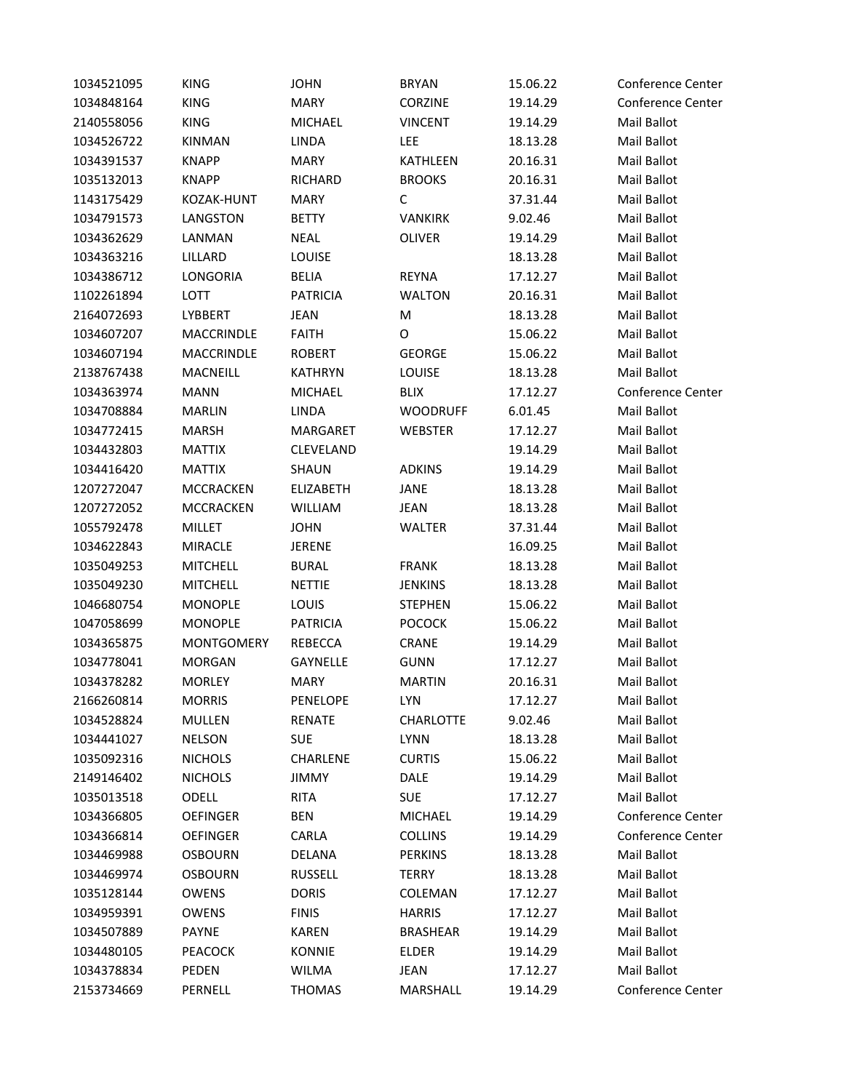| 1034521095 | <b>KING</b>       | <b>JOHN</b>      | <b>BRYAN</b>    | 15.06.22 | Conference Center  |
|------------|-------------------|------------------|-----------------|----------|--------------------|
| 1034848164 | <b>KING</b>       | <b>MARY</b>      | <b>CORZINE</b>  | 19.14.29 | Conference Center  |
| 2140558056 | <b>KING</b>       | <b>MICHAEL</b>   | <b>VINCENT</b>  | 19.14.29 | Mail Ballot        |
| 1034526722 | <b>KINMAN</b>     | LINDA            | LEE             | 18.13.28 | Mail Ballot        |
| 1034391537 | <b>KNAPP</b>      | <b>MARY</b>      | <b>KATHLEEN</b> | 20.16.31 | Mail Ballot        |
| 1035132013 | <b>KNAPP</b>      | RICHARD          | <b>BROOKS</b>   | 20.16.31 | Mail Ballot        |
| 1143175429 | KOZAK-HUNT        | <b>MARY</b>      | C               | 37.31.44 | Mail Ballot        |
| 1034791573 | LANGSTON          | <b>BETTY</b>     | <b>VANKIRK</b>  | 9.02.46  | Mail Ballot        |
| 1034362629 | LANMAN            | <b>NEAL</b>      | <b>OLIVER</b>   | 19.14.29 | <b>Mail Ballot</b> |
| 1034363216 | LILLARD           | <b>LOUISE</b>    |                 | 18.13.28 | Mail Ballot        |
| 1034386712 | LONGORIA          | <b>BELIA</b>     | <b>REYNA</b>    | 17.12.27 | <b>Mail Ballot</b> |
| 1102261894 | LOTT              | <b>PATRICIA</b>  | <b>WALTON</b>   | 20.16.31 | Mail Ballot        |
| 2164072693 | LYBBERT           | JEAN             | M               | 18.13.28 | Mail Ballot        |
| 1034607207 | MACCRINDLE        | <b>FAITH</b>     | O               | 15.06.22 | Mail Ballot        |
| 1034607194 | MACCRINDLE        | <b>ROBERT</b>    | GEORGE          | 15.06.22 | <b>Mail Ballot</b> |
| 2138767438 | MACNEILL          | <b>KATHRYN</b>   | LOUISE          | 18.13.28 | Mail Ballot        |
| 1034363974 | <b>MANN</b>       | <b>MICHAEL</b>   | <b>BLIX</b>     | 17.12.27 | Conference Center  |
| 1034708884 | <b>MARLIN</b>     | <b>LINDA</b>     | <b>WOODRUFF</b> | 6.01.45  | Mail Ballot        |
| 1034772415 | <b>MARSH</b>      | MARGARET         | WEBSTER         | 17.12.27 | Mail Ballot        |
| 1034432803 | <b>MATTIX</b>     | CLEVELAND        |                 | 19.14.29 | Mail Ballot        |
| 1034416420 | <b>MATTIX</b>     | SHAUN            | <b>ADKINS</b>   | 19.14.29 | <b>Mail Ballot</b> |
| 1207272047 | <b>MCCRACKEN</b>  | <b>ELIZABETH</b> | JANE            | 18.13.28 | Mail Ballot        |
| 1207272052 | <b>MCCRACKEN</b>  | WILLIAM          | JEAN            | 18.13.28 | Mail Ballot        |
| 1055792478 | MILLET            | <b>JOHN</b>      | <b>WALTER</b>   | 37.31.44 | Mail Ballot        |
| 1034622843 | MIRACLE           | <b>JERENE</b>    |                 | 16.09.25 | Mail Ballot        |
| 1035049253 | <b>MITCHELL</b>   | <b>BURAL</b>     | <b>FRANK</b>    | 18.13.28 | Mail Ballot        |
| 1035049230 | <b>MITCHELL</b>   | <b>NETTIE</b>    | <b>JENKINS</b>  | 18.13.28 | Mail Ballot        |
| 1046680754 | <b>MONOPLE</b>    | LOUIS            | <b>STEPHEN</b>  | 15.06.22 | Mail Ballot        |
| 1047058699 | <b>MONOPLE</b>    | <b>PATRICIA</b>  | <b>POCOCK</b>   | 15.06.22 | Mail Ballot        |
| 1034365875 | <b>MONTGOMERY</b> | REBECCA          | <b>CRANE</b>    | 19.14.29 | Mail Ballot        |
| 1034778041 | <b>MORGAN</b>     | GAYNELLE         | <b>GUNN</b>     | 17.12.27 | Mail Ballot        |
| 1034378282 | <b>MORLEY</b>     | <b>MARY</b>      | <b>MARTIN</b>   | 20.16.31 | <b>Mail Ballot</b> |
| 2166260814 | <b>MORRIS</b>     | <b>PENELOPE</b>  | LYN             | 17.12.27 | <b>Mail Ballot</b> |
| 1034528824 | MULLEN            | RENATE           | CHARLOTTE       | 9.02.46  | Mail Ballot        |
| 1034441027 | NELSON            | <b>SUE</b>       | <b>LYNN</b>     | 18.13.28 | Mail Ballot        |
| 1035092316 | <b>NICHOLS</b>    | CHARLENE         | <b>CURTIS</b>   | 15.06.22 | Mail Ballot        |
| 2149146402 | <b>NICHOLS</b>    | <b>JIMMY</b>     | DALE            | 19.14.29 | Mail Ballot        |
| 1035013518 | ODELL             | <b>RITA</b>      | <b>SUE</b>      | 17.12.27 | Mail Ballot        |
| 1034366805 | <b>OEFINGER</b>   | <b>BEN</b>       | MICHAEL         | 19.14.29 | Conference Center  |
| 1034366814 | <b>OEFINGER</b>   | CARLA            | <b>COLLINS</b>  | 19.14.29 | Conference Center  |
| 1034469988 | <b>OSBOURN</b>    | DELANA           | <b>PERKINS</b>  | 18.13.28 | Mail Ballot        |
| 1034469974 | <b>OSBOURN</b>    | <b>RUSSELL</b>   | TERRY           | 18.13.28 | Mail Ballot        |
| 1035128144 | <b>OWENS</b>      | <b>DORIS</b>     | COLEMAN         | 17.12.27 | Mail Ballot        |
| 1034959391 | <b>OWENS</b>      | <b>FINIS</b>     | <b>HARRIS</b>   | 17.12.27 | Mail Ballot        |
| 1034507889 | <b>PAYNE</b>      | KAREN            | <b>BRASHEAR</b> | 19.14.29 | Mail Ballot        |
| 1034480105 | <b>PEACOCK</b>    | <b>KONNIE</b>    | ELDER           | 19.14.29 | Mail Ballot        |
| 1034378834 | PEDEN             | WILMA            | JEAN            | 17.12.27 | Mail Ballot        |
| 2153734669 | PERNELL           | <b>THOMAS</b>    | MARSHALL        | 19.14.29 | Conference Center  |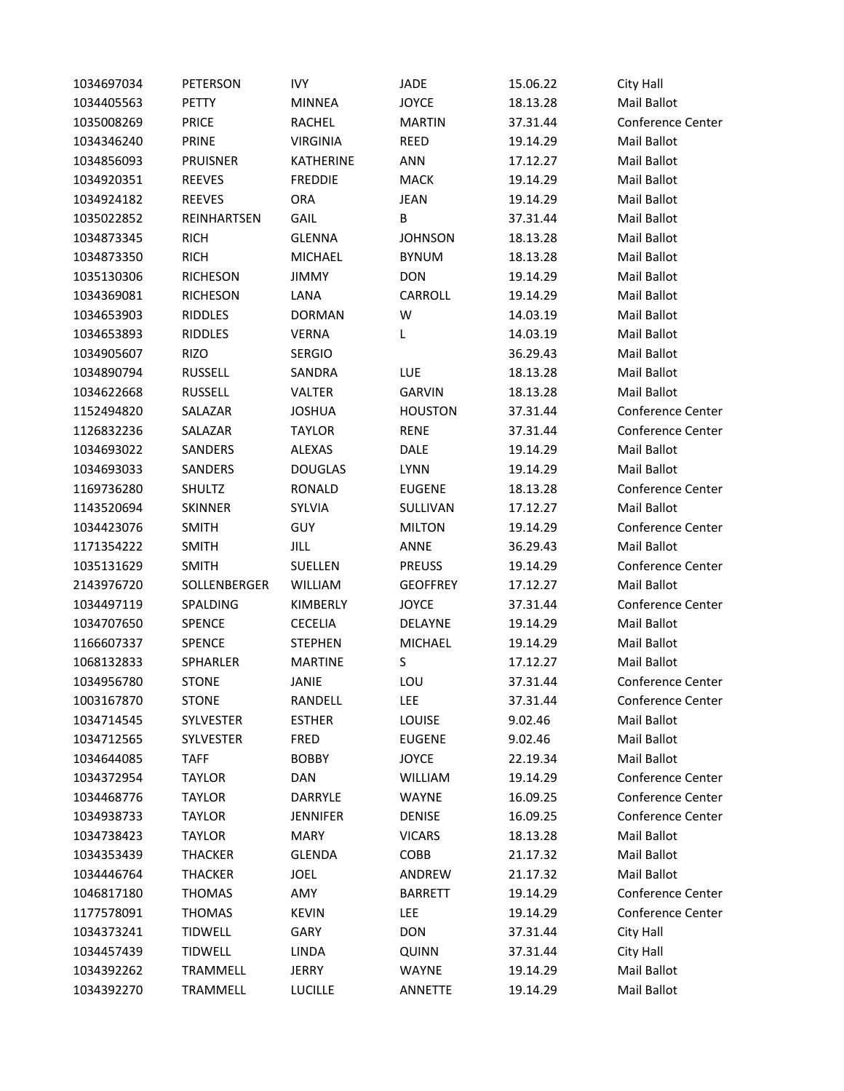| 1034697034 | PETERSON         | <b>IVY</b>      | JADE            | 15.06.22 | City Hall          |
|------------|------------------|-----------------|-----------------|----------|--------------------|
| 1034405563 | <b>PETTY</b>     | <b>MINNEA</b>   | <b>JOYCE</b>    | 18.13.28 | Mail Ballot        |
| 1035008269 | <b>PRICE</b>     | RACHEL          | <b>MARTIN</b>   | 37.31.44 | Conference Center  |
| 1034346240 | <b>PRINE</b>     | <b>VIRGINIA</b> | REED            | 19.14.29 | Mail Ballot        |
| 1034856093 | <b>PRUISNER</b>  | KATHERINE       | <b>ANN</b>      | 17.12.27 | Mail Ballot        |
| 1034920351 | <b>REEVES</b>    | <b>FREDDIE</b>  | <b>MACK</b>     | 19.14.29 | Mail Ballot        |
| 1034924182 | <b>REEVES</b>    | <b>ORA</b>      | JEAN            | 19.14.29 | Mail Ballot        |
| 1035022852 | REINHARTSEN      | GAIL            | В               | 37.31.44 | Mail Ballot        |
| 1034873345 | <b>RICH</b>      | <b>GLENNA</b>   | <b>JOHNSON</b>  | 18.13.28 | Mail Ballot        |
| 1034873350 | <b>RICH</b>      | <b>MICHAEL</b>  | <b>BYNUM</b>    | 18.13.28 | Mail Ballot        |
| 1035130306 | <b>RICHESON</b>  | <b>JIMMY</b>    | <b>DON</b>      | 19.14.29 | Mail Ballot        |
| 1034369081 | <b>RICHESON</b>  | LANA            | CARROLL         | 19.14.29 | Mail Ballot        |
| 1034653903 | <b>RIDDLES</b>   | <b>DORMAN</b>   | W               | 14.03.19 | Mail Ballot        |
| 1034653893 | <b>RIDDLES</b>   | <b>VERNA</b>    | L               | 14.03.19 | Mail Ballot        |
| 1034905607 | <b>RIZO</b>      | <b>SERGIO</b>   |                 | 36.29.43 | Mail Ballot        |
| 1034890794 | <b>RUSSELL</b>   | SANDRA          | LUE             | 18.13.28 | Mail Ballot        |
| 1034622668 | <b>RUSSELL</b>   | <b>VALTER</b>   | <b>GARVIN</b>   | 18.13.28 | Mail Ballot        |
| 1152494820 | SALAZAR          | <b>JOSHUA</b>   | <b>HOUSTON</b>  | 37.31.44 | Conference Center  |
| 1126832236 | SALAZAR          | <b>TAYLOR</b>   | <b>RENE</b>     | 37.31.44 | Conference Center  |
| 1034693022 | SANDERS          | ALEXAS          | DALE            | 19.14.29 | Mail Ballot        |
| 1034693033 | SANDERS          | <b>DOUGLAS</b>  | <b>LYNN</b>     | 19.14.29 | Mail Ballot        |
| 1169736280 | SHULTZ           | <b>RONALD</b>   | <b>EUGENE</b>   | 18.13.28 | Conference Center  |
| 1143520694 | <b>SKINNER</b>   | SYLVIA          | SULLIVAN        | 17.12.27 | <b>Mail Ballot</b> |
| 1034423076 | <b>SMITH</b>     | GUY             |                 |          |                    |
|            |                  |                 | <b>MILTON</b>   | 19.14.29 | Conference Center  |
|            |                  |                 |                 |          |                    |
| 1171354222 | <b>SMITH</b>     | JILL            | <b>ANNE</b>     | 36.29.43 | <b>Mail Ballot</b> |
| 1035131629 | <b>SMITH</b>     | SUELLEN         | <b>PREUSS</b>   | 19.14.29 | Conference Center  |
| 2143976720 | SOLLENBERGER     | WILLIAM         | <b>GEOFFREY</b> | 17.12.27 | Mail Ballot        |
| 1034497119 | SPALDING         | KIMBERLY        | <b>JOYCE</b>    | 37.31.44 | Conference Center  |
| 1034707650 | SPENCE           | <b>CECELIA</b>  | DELAYNE         | 19.14.29 | Mail Ballot        |
| 1166607337 | <b>SPENCE</b>    | <b>STEPHEN</b>  | <b>MICHAEL</b>  | 19.14.29 | Mail Ballot        |
| 1068132833 | SPHARLER         | <b>MARTINE</b>  | S               | 17.12.27 | <b>Mail Ballot</b> |
| 1034956780 | <b>STONE</b>     | JANIE           | LOU             | 37.31.44 | Conference Center  |
| 1003167870 | STONE            | RANDELL         | LEE             | 37.31.44 | Conference Center  |
| 1034714545 | SYLVESTER        | <b>ESTHER</b>   | LOUISE          | 9.02.46  | Mail Ballot        |
| 1034712565 | <b>SYLVESTER</b> | <b>FRED</b>     | <b>EUGENE</b>   | 9.02.46  | Mail Ballot        |
| 1034644085 | <b>TAFF</b>      | <b>BOBBY</b>    | <b>JOYCE</b>    | 22.19.34 | Mail Ballot        |
| 1034372954 | <b>TAYLOR</b>    | <b>DAN</b>      | <b>WILLIAM</b>  | 19.14.29 | Conference Center  |
| 1034468776 | <b>TAYLOR</b>    | DARRYLE         | <b>WAYNE</b>    | 16.09.25 | Conference Center  |
| 1034938733 | <b>TAYLOR</b>    | <b>JENNIFER</b> | DENISE          | 16.09.25 | Conference Center  |
| 1034738423 | <b>TAYLOR</b>    | <b>MARY</b>     | <b>VICARS</b>   | 18.13.28 | <b>Mail Ballot</b> |
| 1034353439 | <b>THACKER</b>   | <b>GLENDA</b>   | COBB            | 21.17.32 | Mail Ballot        |
| 1034446764 | THACKER          | <b>JOEL</b>     | ANDREW          | 21.17.32 | Mail Ballot        |
| 1046817180 | <b>THOMAS</b>    | AMY             | <b>BARRETT</b>  | 19.14.29 | Conference Center  |
| 1177578091 | <b>THOMAS</b>    | <b>KEVIN</b>    | LEE             | 19.14.29 | Conference Center  |
| 1034373241 | <b>TIDWELL</b>   | GARY            | <b>DON</b>      | 37.31.44 | City Hall          |
| 1034457439 | <b>TIDWELL</b>   | <b>LINDA</b>    | QUINN           | 37.31.44 | City Hall          |
| 1034392262 | TRAMMELL         | JERRY           | WAYNE           | 19.14.29 | Mail Ballot        |